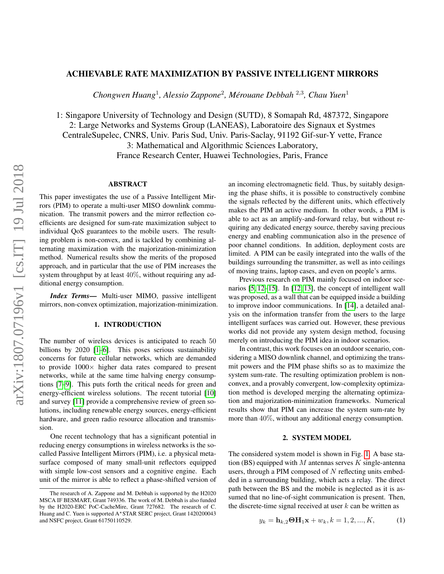# ACHIEVABLE RATE MAXIMIZATION BY PASSIVE INTELLIGENT MIRRORS

*Chongwen Huang*<sup>1</sup> *, Alessio Zappone*<sup>2</sup> *, Merouane Debbah ´* 2,3 *, Chau Yuen*<sup>1</sup>

1: Singapore University of Technology and Design (SUTD), 8 Somapah Rd, 487372, Singapore 2: Large Networks and Systems Group (LANEAS), Laboratoire des Signaux et Systmes CentraleSupelec, CNRS, Univ. Paris Sud, Univ. Paris-Saclay, 91192 Gif-sur-Y vette, France 3: Mathematical and Algorithmic Sciences Laboratory, France Research Center, Huawei Technologies, Paris, France

# **ABSTRACT**

This paper investigates the use of a Passive Intelligent Mirrors (PIM) to operate a multi-user MISO downlink communication. The transmit powers and the mirror reflection coefficients are designed for sum-rate maximization subject to individual QoS guarantees to the mobile users. The resulting problem is non-convex, and is tackled by combining alternating maximization with the majorization-minimization method. Numerical results show the merits of the proposed approach, and in particular that the use of PIM increases the system throughput by at least 40%, without requiring any additional energy consumption.

*Index Terms*— Multi-user MIMO, passive intelligent mirrors, non-convex optimization, majorization-minimization.

### 1. INTRODUCTION

The number of wireless devices is anticipated to reach 50 billions by 2020 [\[1–](#page-4-0)[6\]](#page-4-1). This poses serious sustainability concerns for future cellular networks, which are demanded to provide  $1000 \times$  higher data rates compared to present networks, while at the same time halving energy consumptions [\[7](#page-4-2)[–9\]](#page-4-3). This puts forth the critical needs for green and energy-efficient wireless solutions. The recent tutorial [\[10\]](#page-4-4) and survey [\[11\]](#page-4-5) provide a comprehensive review of green solutions, including renewable energy sources, energy-efficient hardware, and green radio resource allocation and transmission.

One recent technology that has a significant potential in reducing energy consumptions in wireless networks is the socalled Passive Intelligent Mirrors (PIM), i.e. a physical metasurface composed of many small-unit reflectors equipped with simple low-cost sensors and a cognitive engine. Each unit of the mirror is able to reflect a phase-shifted version of an incoming electromagnetic field. Thus, by suitably designing the phase shifts, it is possible to constructively combine the signals reflected by the different units, which effectively makes the PIM an active medium. In other words, a PIM is able to act as an amplify-and-forward relay, but without requiring any dedicated energy source, thereby saving precious energy and enabling communication also in the presence of poor channel conditions. In addition, deployment costs are limited. A PIM can be easily integrated into the walls of the buildings surrounding the transmitter, as well as into ceilings of moving trains, laptop cases, and even on people's arms.

Previous research on PIM mainly focused on indoor scenarios [\[5,](#page-4-6) [12–](#page-4-7)[15\]](#page-4-8). In [\[12,](#page-4-7) [13\]](#page-4-9), the concept of intelligent wall was proposed, as a wall that can be equipped inside a building to improve indoor communications. In [\[14\]](#page-4-10), a detailed analysis on the information transfer from the users to the large intelligent surfaces was carried out. However, these previous works did not provide any system design method, focusing merely on introducing the PIM idea in indoor scenarios.

In contrast, this work focuses on an outdoor scenario, considering a MISO downlink channel, and optimizing the transmit powers and the PIM phase shifts so as to maximize the system sum-rate. The resulting optimization problem is nonconvex, and a provably convergent, low-complexity optimization method is developed merging the alternating optimization and majorization-minimization frameworks. Numerical results show that PIM can increase the system sum-rate by more than 40%, without any additional energy consumption.

#### 2. SYSTEM MODEL

<span id="page-0-0"></span>The considered system model is shown in Fig. [1.](#page-1-0) A base station (BS) equipped with M antennas serves K single-antenna users, through a PIM composed of  $N$  reflecting units embedded in a surrounding building, which acts a relay. The direct path between the BS and the mobile is neglected as it is assumed that no line-of-sight communication is present. Then, the discrete-time signal received at user  $k$  can be written as

$$
y_k = \mathbf{h}_{k,2} \mathbf{\Theta} \mathbf{H}_1 \mathbf{x} + w_k, k = 1, 2, ..., K,
$$
 (1)

The research of A. Zappone and M. Debbah is supported by the H2020 MSCA IF BESMART, Grant 749336. The work of M. Debbah is also funded by the H2020-ERC PoC-CacheMire, Grant 727682. The research of C. Huang and C. Yuen is supported A\*STAR SERC project, Grant 1420200043 and NSFC project, Grant 61750110529.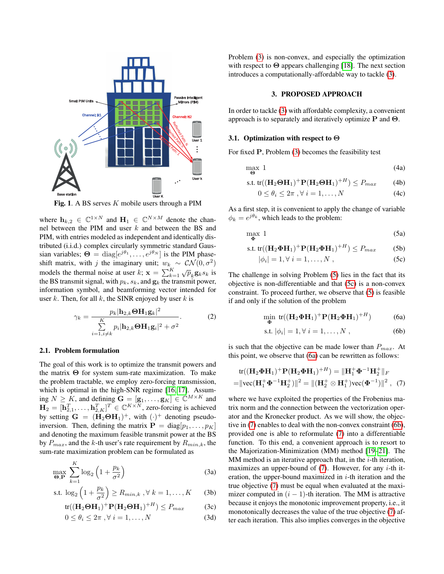

<span id="page-1-0"></span>Fig. 1. A BS serves  $K$  mobile users through a PIM

where  $h_{k,2} \in \mathbb{C}^{1 \times N}$  and  $H_1 \in \mathbb{C}^{N \times M}$  denote the channel between the PIM and user k and between the BS and PIM, with entries modeled as independent and identically distributed (i.i.d.) complex circularly symmetric standard Gaussian variables;  $\Theta = \text{diag}[e^{j\theta_1}, \dots, e^{j\theta_N}]$  is the PIM phaseshift matrix, with j the imaginary unit;  $w_k \sim \mathcal{CN}(0, \sigma^2)$ models the thermal noise at user k;  $\mathbf{x} = \sum_{k=1}^{K} \sqrt{p}_k \mathbf{g}_k s_k$  is the BS transmit signal, with  $p_k$ ,  $s_k$ , and  $\mathbf{g}_k$  the transmit power, information symbol, and beamforming vector intended for user  $k$ . Then, for all  $k$ , the SINR enjoyed by user  $k$  is

$$
\gamma_k = \frac{p_k |\mathbf{h}_{2,k} \boldsymbol{\Theta} \mathbf{H}_1 \mathbf{g}_k|^2}{\sum\limits_{i=1, i \neq k}^K p_i |\mathbf{h}_{2,k} \boldsymbol{\Theta} \mathbf{H}_1 \mathbf{g}_i|^2 + \sigma^2}.
$$
 (2)

# 2.1. Problem formulation

The goal of this work is to optimize the transmit powers and the matrix  $\Theta$  for system sum-rate maximization. To make the problem tractable, we employ zero-forcing transmission, which is optimal in the high-SNR regime [\[16,](#page-4-11) [17\]](#page-4-12). Assuming  $N \geq K$ , and defining  $\mathbf{G} = [\mathbf{g}_1, \dots, \mathbf{g}_K] \in \mathbb{C}^{M \times K}$  and  $\mathbf{H}_2 = [\mathbf{h}_{2,1}^T, \dots, \mathbf{h}_{2,K}^T]^T \in \mathbb{C}^{K \times N}$ , zero-forcing is achieved by setting  $G = (H_2 \Theta H_1)^+$ , with  $(\cdot)^+$  denoting pseudoinversion. Then, defining the matrix  $\mathbf{P} = \text{diag}[p_1, \dots, p_K]$ and denoting the maximum feasible transmit power at the BS by  $P_{max}$ , and the k-th user's rate requirement by  $R_{min,k}$ , the sum-rate maximization problem can be formulated as

$$
\max_{\Theta, \mathbf{P}} \sum_{k=1}^{K} \log_2 \left( 1 + \frac{p_k}{\sigma^2} \right) \tag{3a}
$$

$$
\text{s.t. } \log_2\left(1 + \frac{p_k}{\sigma^2}\right) \ge R_{min,k}, \forall \ k = 1, \dots, K \qquad (3b)
$$

$$
tr((\mathbf{H}_2 \Theta \mathbf{H}_1)^+ \mathbf{P} (\mathbf{H}_2 \Theta \mathbf{H}_1)^{+H}) \le P_{max} \tag{3c}
$$

$$
0 \le \theta_i \le 2\pi \,, \forall \ i = 1, \dots, N \tag{3d}
$$

Problem [\(3\)](#page-1-1) is non-convex, and especially the optimization with respect to  $\Theta$  appears challenging [\[18\]](#page-4-13). The next section introduces a computationally-affordable way to tackle [\(3\)](#page-1-1).

### 3. PROPOSED APPROACH

In order to tackle [\(3\)](#page-1-1) with affordable complexity, a convenient approach is to separately and iteratively optimize P and Θ.

### 3.1. Optimization with respect to Θ

For fixed P, Problem [\(3\)](#page-1-1) becomes the feasibility test

$$
\max_{\Theta} 1 \tag{4a}
$$

$$
\text{s.t. } \text{tr}((\mathbf{H}_2 \boldsymbol{\Theta} \mathbf{H}_1)^+ \mathbf{P} (\mathbf{H}_2 \boldsymbol{\Theta} \mathbf{H}_1)^{+H}) \le P_{max} \tag{4b}
$$

<span id="page-1-2"></span>
$$
0 \le \theta_i \le 2\pi \,, \forall \ i = 1, \dots, N \tag{4c}
$$

As a first step, it is convenient to apply the change of variable  $\phi_k = e^{j\theta_k}$ , which leads to the problem:

$$
\max_{\Phi} 1 \tag{5a}
$$

$$
\text{s.t. } \text{tr}((\mathbf{H}_2 \mathbf{\Phi} \mathbf{H}_1)^+ \mathbf{P} (\mathbf{H}_2 \mathbf{\Phi} \mathbf{H}_1)^{+H}) \le P_{max} \tag{5b}
$$

<span id="page-1-3"></span>
$$
|\phi_i| = 1, \forall i = 1, \dots, N , \qquad (5c)
$$

The challenge in solving Problem [\(5\)](#page-1-2) lies in the fact that its objective is non-differentiable and that [\(5c\)](#page-1-3) is a non-convex constraint. To proceed further, we observe that [\(5\)](#page-1-2) is feasible if and only if the solution of the problem

<span id="page-1-7"></span><span id="page-1-6"></span><span id="page-1-4"></span>
$$
\min_{\mathbf{\Phi}} \text{tr}((\mathbf{H}_2 \mathbf{\Phi} \mathbf{H}_1)^+ \mathbf{P} (\mathbf{H}_2 \mathbf{\Phi} \mathbf{H}_1)^{+H}) \tag{6a}
$$

<span id="page-1-5"></span>s.t. 
$$
|\phi_i| = 1, \forall i = 1, ..., N
$$
, (6b)

is such that the objective can be made lower than  $P_{max}$ . At this point, we observe that [\(6a\)](#page-1-4) can be rewritten as follows:

tr(
$$
(\mathbf{H}_2 \mathbf{\Phi} \mathbf{H}_1)^+ \mathbf{P} (\mathbf{H}_2 \mathbf{\Phi} \mathbf{H}_1)^{+H} = ||\mathbf{H}_1^+ \mathbf{\Phi}^{-1} \mathbf{H}_2^+||_F
$$
  
= $||\text{vec}(\mathbf{H}_1^+ \mathbf{\Phi}^{-1} \mathbf{H}_2^+)||^2 = ||(\mathbf{H}_2^+ \otimes \mathbf{H}_1^+)\text{vec}(\mathbf{\Phi}^{-1})||^2$ , (7)

<span id="page-1-8"></span><span id="page-1-1"></span>where we have exploited the properties of the Frobenius matrix norm and the connection between the vectorization operator and the Kronecker product. As we will show, the objective in [\(7\)](#page-1-5) enables to deal with the non-convex constraint [\(6b\)](#page-1-6), provided one is able to reformulate [\(7\)](#page-1-5) into a differentiable function. To this end, a convenient approach is to resort to the Majorization-Minimization (MM) method [\[19](#page-4-14)[–21\]](#page-4-15). The MM method is an iterative approach that, in the  $i$ -th iteration, maximizes an upper-bound of  $(7)$ . However, for any *i*-th iteration, the upper-bound maximized in  $i$ -th iteration and the true objective [\(7\)](#page-1-5) must be equal when evaluated at the maximizer computed in  $(i - 1)$ -th iteration. The MM is attractive because it enjoys the monotonic improvement property, i.e., it monotonically decreases the value of the true objective [\(7\)](#page-1-5) after each iteration. This also implies converges in the objective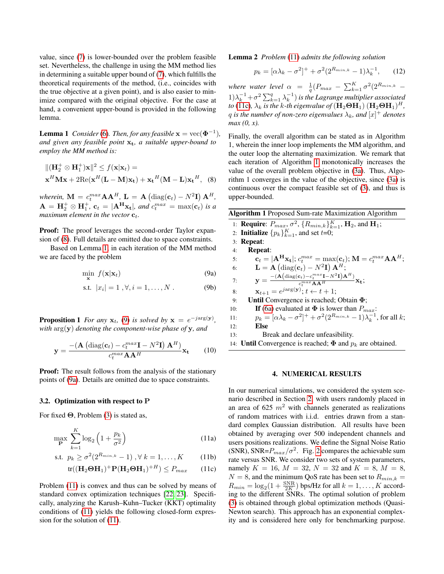value, since [\(7\)](#page-1-5) is lower-bounded over the problem feasible set. Nevertheless, the challenge in using the MM method lies in determining a suitable upper bound of [\(7\)](#page-1-5), which fulfills the theoretical requirements of the method, (i.e., coincides with the true objective at a given point), and is also easier to minimize compared with the original objective. For the case at hand, a convenient upper-bound is provided in the following lemma.

<span id="page-2-1"></span>**Lemma 1** *Consider* [\(6\)](#page-1-7). *Then, for any feasible*  $\mathbf{x} = \text{vec}(\mathbf{\Phi}^{-1})$ , *and given any feasible point*  $x_t$ *, a suitable upper-bound to employ the MM method is:*

$$
\begin{aligned} &\|(\mathbf{H}_2^+ \otimes \mathbf{H}_1^+) \mathbf{x}\|^2 \le f(\mathbf{x}|\mathbf{x}_t) = \\ &\mathbf{x}^H \mathbf{M} \mathbf{x} + 2\text{Re}(\mathbf{x}^H (\mathbf{L} - \mathbf{M}) \mathbf{x}_t) + \mathbf{x}_t^H (\mathbf{M} - \mathbf{L}) \mathbf{x}_t^H, \quad (8) \end{aligned}
$$

wherein,  $\mathbf{M} = c_t^{max} \mathbf{A} \mathbf{A}^H$ ,  $\mathbf{L} = \mathbf{A} \left( \text{diag}(\mathbf{c}_t) - N^2 \mathbf{I} \right) \mathbf{A}^H$ ,  $\mathbf{A} = \mathbf{H}_2^+ \otimes \mathbf{H}_1^+$ ,  $\mathbf{c}_t = |\mathbf{A}^H \mathbf{x}_t|$ , and  $c_t^{max} = max(\mathbf{c}_t)$  is a *maximum element in the vector*  $c_t$ *.* 

Proof: The proof leverages the second-order Taylor expansion of [\(8\)](#page-2-0). Full details are omitted due to space constraints.

Based on Lemma [1,](#page-2-1) in each iteration of the MM method we are faced by the problem

<span id="page-2-2"></span>
$$
\min_{\mathbf{x}} f(\mathbf{x}|\mathbf{x}_t) \tag{9a}
$$

s.t. 
$$
|x_i| = 1, \forall, i = 1, ..., N
$$
. (9b)

**Proposition 1** *For any*  $\mathbf{x}_t$ , [\(9\)](#page-2-2) *is solved by*  $\mathbf{x} = e^{-j \arg(\mathbf{y})}$ *, with* arg(y) *denoting the component-wise phase of* y*, and*

$$
\mathbf{y} = \frac{-\left(\mathbf{A}\left(\text{diag}(\mathbf{c}_t) - c_t^{max}\mathbf{I} - N^2\mathbf{I}\right)\mathbf{A}^H\right)}{c_t^{max}\mathbf{A}\mathbf{A}^H}\mathbf{x_t}
$$
(10)

**Proof:** The result follows from the analysis of the stationary points of [\(9a\)](#page-2-3). Details are omitted due to space constraints.

#### 3.2. Optimization with respect to P

For fixed Θ, Problem [\(3\)](#page-1-1) is stated as,

$$
\max_{\mathbf{P}} \sum_{k=1}^{K} \log_2 \left( 1 + \frac{p_k}{\sigma^2} \right) \tag{11a}
$$

s.t. 
$$
p_k \ge \sigma^2(2^{R_{min,k}} - 1), \forall k = 1, ..., K
$$
 (11b)

$$
\text{tr}((\mathbf{H}_2 \boldsymbol{\Theta} \mathbf{H}_1)^+ \mathbf{P} (\mathbf{H}_2 \boldsymbol{\Theta} \mathbf{H}_1)^{+H}) \le P_{max} \qquad (11c)
$$

Problem [\(11\)](#page-2-4) is convex and thus can be solved by means of standard convex optimization techniques [\[22,](#page-4-16) [23\]](#page-4-17). Specifically, analyzing the Karush–Kuhn–Tucker (KKT) optimality conditions of [\(11\)](#page-2-4) yields the following closed-form expression for the solution of [\(11\)](#page-2-4).

Lemma 2 *Problem* [\(11\)](#page-2-4) *admits the following solution*

$$
p_k = [\alpha \lambda_k - \sigma^2]^+ + \sigma^2 (2^{R_{min,k}} - 1) \lambda_k^{-1}, \qquad (12)
$$

*where water level*  $\alpha = \frac{1}{q}(P_{max} - \sum_{k=1}^{K} \sigma^2 (2^{R_{min,k}} (1)\lambda_k^{-1} + \sigma^2 \sum_{k=1}^q \lambda_k^{-1}$  *is the Lagrange multiplier associated to* [\(11c\)](#page-2-5),  $\lambda_k$  *is the k-th eigenvalue of*  $(\mathbf{H}_2 \boldsymbol{\Theta} \mathbf{H}_1)$   $(\mathbf{H}_2 \boldsymbol{\Theta} \mathbf{H}_1)^H$ ,  $q$  is the number of non-zero eigenvalues  $\lambda_k$ , and  $[x]^+$  denotes *max (0, x).*

<span id="page-2-0"></span>Finally, the overall algorithm can be stated as in Algorithm 1, wherein the inner loop implements the MM algorithm, and the outer loop the alternating maximization. We remark that each iteration of Algorithm [1](#page-2-6) monotonically increases the value of the overall problem objective in [\(3a\)](#page-1-8). Thus, Algorithm 1 converges in the value of the objective, since [\(3a\)](#page-1-8) is continuous over the compact feasible set of [\(3\)](#page-1-1), and thus is upper-bounded.

<span id="page-2-6"></span><span id="page-2-3"></span>

| <b>Algorithm 1</b> Proposed Sum-rate Maximization Algorithm |                                                                                                                                                                |
|-------------------------------------------------------------|----------------------------------------------------------------------------------------------------------------------------------------------------------------|
|                                                             | 1: <b>Require:</b> $P_{max}$ , $\sigma^2$ , $\{R_{min,k}\}_{k=1}^K$ , <b>H</b> <sub>2</sub> , and <b>H</b> <sub>1</sub> ;                                      |
|                                                             | 2: <b>Initialize</b> $\{p_k\}_{k=1}^K$ , and set $t=0$ ;                                                                                                       |
|                                                             | $3:$ Repeat:                                                                                                                                                   |
| 4:                                                          | <b>Repeat:</b>                                                                                                                                                 |
| 5:                                                          | $\mathbf{c}_t =  \mathbf{A}^H \mathbf{x}_t $ ; $c_t^{max} = \max(\mathbf{c}_t)$ ; $\mathbf{M} = c_t^{max} \mathbf{A} \mathbf{A}^H$ ;                           |
| 6:                                                          | $\mathbf{L} = \mathbf{A} \left( \text{diag}(\mathbf{c}_t) - N^2 \mathbf{I} \right) \mathbf{A}^H;$                                                              |
| 7:                                                          | $\mathbf{y} = \frac{-(\mathbf{A}(\text{diag}(\mathbf{c}_t) - c_t^{max}\mathbf{I} - N^2\mathbf{I})\mathbf{A}^H)}{c_t^{max}\mathbf{A}\mathbf{A}^H}\mathbf{x_t};$ |
| 8:                                                          | $\mathbf{x}_{t+1} = e^{j \arg(\mathbf{y})}$ ; $t \leftarrow t + 1$ ;                                                                                           |
| 9:                                                          | <b>Until Convergence is reached; Obtain <math>\Phi</math>;</b>                                                                                                 |
| 10:                                                         | If (6a) evaluated at $\Phi$ is lower than $P_{max}$ :                                                                                                          |
| 11:                                                         | $p_k = [\alpha \lambda_k - \sigma^2]^+ + \sigma^2 (2^{R_{min,k}} - 1) \lambda_k^{-1}$ , for all k;                                                             |
| 12:                                                         | Else                                                                                                                                                           |
| 13:                                                         | Break and declare unfeasibility.                                                                                                                               |
|                                                             | 14: <b>Until</b> Convergence is reached; $\Phi$ and $p_k$ are obtained.                                                                                        |
|                                                             |                                                                                                                                                                |

#### 4. NUMERICAL RESULTS

<span id="page-2-5"></span><span id="page-2-4"></span>In our numerical simulations, we considered the system scenario described in Section [2,](#page-0-0) with users randomly placed in an area of 625  $m^2$  with channels generated as realizations of random matrices with i.i.d. entries drawn from a standard complex Gaussian distribution. All results have been obtained by averaging over 500 independent channels and users positions realizations. We define the Signal Noise Ratio (SNR), SNR= $P_{max}/\sigma^2$ . Fig. [2](#page-3-0) compares the achievable sum rate versus SNR. We consider two sets of system parameters, namely  $K = 16$ ,  $M = 32$ ,  $N = 32$  and  $K = 8$ ,  $M = 8$ ,  $N = 8$ , and the minimum QoS rate has been set to  $R_{min,k} =$  $R_{min} = \log_2(1 + \frac{\text{SNR}}{2K})$  bps/Hz for all  $k = 1, ..., K$  according to the different SNRs. The optimal solution of problem [\(3\)](#page-1-1) is obtained through global optimization methods (Quasi-Newton search). This approach has an exponential complexity and is considered here only for benchmarking purpose.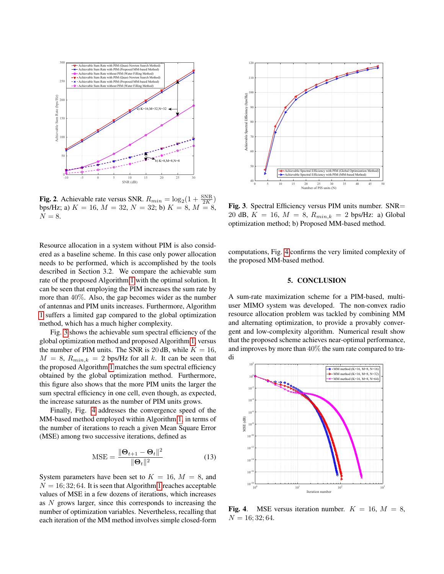

<span id="page-3-0"></span>**Fig. 2.** Achievable rate versus SNR.  $R_{min} = \log_2(1 + \frac{SNR}{2K})$ bps/Hz; a)  $K = 16$ ,  $M = 32$ ,  $N = 32$ ; b)  $K = 8$ ,  $M = 8$ ,  $N = 8$ .

Resource allocation in a system without PIM is also considered as a baseline scheme. In this case only power allocation needs to be performed, which is accomplished by the tools described in Section 3.2. We compare the achievable sum rate of the proposed Algorithm [1](#page-2-6) with the optimal solution. It can be seen that employing the PIM increases the sum rate by more than 40%. Also, the gap becomes wider as the number of antennas and PIM units increases. Furthermore, Algorithm [1](#page-2-6) suffers a limited gap compared to the global optimization method, which has a much higher complexity.

Fig. [3](#page-3-1) shows the achievable sum spectral efficiency of the global optimization method and proposed Algorithm [1,](#page-2-6) versus the number of PIM units. The SNR is 20 dB, while  $K = 16$ ,  $M = 8$ ,  $R_{min,k} = 2$  bps/Hz for all k. It can be seen that the proposed Algorithm [1](#page-2-6) matches the sum spectral efficiency obtained by the global optimization method. Furthermore, this figure also shows that the more PIM units the larger the sum spectral efficiency in one cell, even though, as expected, the increase saturates as the number of PIM units grows.

Finally, Fig. [4](#page-3-2) addresses the convergence speed of the MM-based method employed within Algorithm [1,](#page-2-6) in terms of the number of iterations to reach a given Mean Square Error (MSE) among two successive iterations, defined as

$$
\text{MSE} = \frac{\|\mathbf{\Theta}_{t+1} - \mathbf{\Theta}_t\|^2}{\|\mathbf{\Theta}_t\|^2} \tag{13}
$$

System parameters have been set to  $K = 16$ ,  $M = 8$ , and  $N = 16$  $N = 16$  $N = 16$ ; 32; 64. It is seen that Algorithm 1 reaches acceptable values of MSE in a few dozens of iterations, which increases as N grows larger, since this corresponds to increasing the number of optimization variables. Nevertheless, recalling that each iteration of the MM method involves simple closed-form



<span id="page-3-1"></span>Fig. 3. Spectral Efficiency versus PIM units number. SNR= 20 dB,  $K = 16$ ,  $M = 8$ ,  $R_{min,k} = 2$  bps/Hz: a) Global optimization method; b) Proposed MM-based method.

computations, Fig. [4](#page-3-2) confirms the very limited complexity of the proposed MM-based method.

### 5. CONCLUSION

A sum-rate maximization scheme for a PIM-based, multiuser MIMO system was developed. The non-convex radio resource allocation problem was tackled by combining MM and alternating optimization, to provide a provably convergent and low-complexity algorithm. Numerical result show that the proposed scheme achieves near-optimal performance, and improves by more than 40% the sum rate compared to traditional systems with PIM.



<span id="page-3-2"></span>Fig. 4. MSE versus iteration number.  $K = 16$ ,  $M = 8$ ,  $N = 16; 32; 64.$